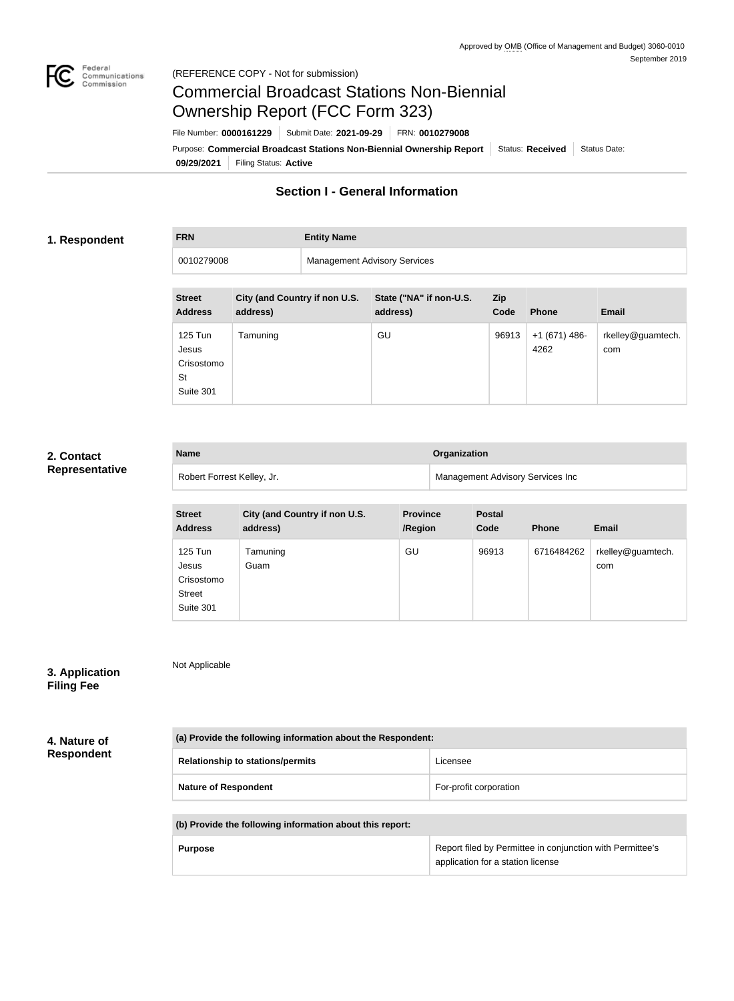

# Commercial Broadcast Stations Non-Biennial Ownership Report (FCC Form 323)

**09/29/2021** Filing Status: **Active** Purpose: Commercial Broadcast Stations Non-Biennial Ownership Report Status: Received Status Date: File Number: **0000161229** Submit Date: **2021-09-29** FRN: **0010279008**

# **Section I - General Information**

#### **1. Respondent**

**FRN Entity Name**

0010279008 Management Advisory Services

| <b>Street</b><br><b>Address</b>                   | City (and Country if non U.S.<br>address) | State ("NA" if non-U.S.<br>address) | <b>Zip</b><br>Code | <b>Phone</b>           | <b>Email</b>             |
|---------------------------------------------------|-------------------------------------------|-------------------------------------|--------------------|------------------------|--------------------------|
| 125 Tun<br>Jesus<br>Crisostomo<br>St<br>Suite 301 | Tamuning                                  | GU                                  | 96913              | $+1(671)$ 486-<br>4262 | rkelley@guamtech.<br>com |

#### **2. Contact Representative**

| <b>Name</b>                | Organization                            |
|----------------------------|-----------------------------------------|
| Robert Forrest Kelley, Jr. | <b>Management Advisory Services Inc</b> |

| <b>Street</b><br><b>Address</b>                              | City (and Country if non U.S.<br>address) | <b>Province</b><br>/Region | <b>Postal</b><br>Code | <b>Phone</b> | <b>Email</b>             |
|--------------------------------------------------------------|-------------------------------------------|----------------------------|-----------------------|--------------|--------------------------|
| 125 Tun<br>Jesus<br>Crisostomo<br><b>Street</b><br>Suite 301 | Tamuning<br>Guam                          | GU                         | 96913                 | 6716484262   | rkelley@guamtech.<br>com |

#### **3. Application Filing Fee**

**4. Nature of Respondent** Not Applicable

| (a) Provide the following information about the Respondent: |                                                                                                |  |  |  |
|-------------------------------------------------------------|------------------------------------------------------------------------------------------------|--|--|--|
| <b>Relationship to stations/permits</b>                     | Licensee                                                                                       |  |  |  |
| <b>Nature of Respondent</b>                                 | For-profit corporation                                                                         |  |  |  |
| (b) Provide the following information about this report:    |                                                                                                |  |  |  |
| <b>Purpose</b>                                              | Report filed by Permittee in conjunction with Permittee's<br>application for a station license |  |  |  |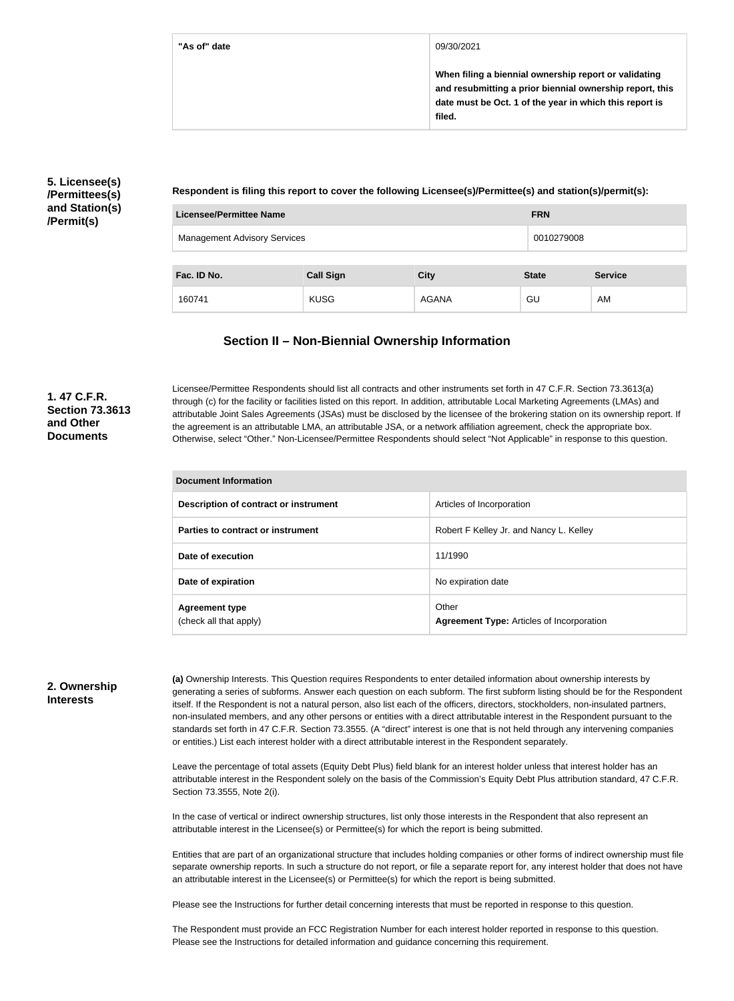**"As of" date** 09/30/2021

**When filing a biennial ownership report or validating and resubmitting a prior biennial ownership report, this date must be Oct. 1 of the year in which this report is filed.**

### **5. Licensee(s) /Permittees(s) and Station(s) /Permit(s)**

**Respondent is filing this report to cover the following Licensee(s)/Permittee(s) and station(s)/permit(s):**

| <b>Licensee/Permittee Name</b>      |                  |              | <b>FRN</b>   |                |
|-------------------------------------|------------------|--------------|--------------|----------------|
| <b>Management Advisory Services</b> |                  |              | 0010279008   |                |
|                                     |                  |              |              |                |
| Fac. ID No.                         | <b>Call Sign</b> | <b>City</b>  | <b>State</b> | <b>Service</b> |
| 160741                              | <b>KUSG</b>      | <b>AGANA</b> | GU           | AM             |

## **Section II – Non-Biennial Ownership Information**

### **1. 47 C.F.R. Section 73.3613 and Other Documents**

Licensee/Permittee Respondents should list all contracts and other instruments set forth in 47 C.F.R. Section 73.3613(a) through (c) for the facility or facilities listed on this report. In addition, attributable Local Marketing Agreements (LMAs) and attributable Joint Sales Agreements (JSAs) must be disclosed by the licensee of the brokering station on its ownership report. If the agreement is an attributable LMA, an attributable JSA, or a network affiliation agreement, check the appropriate box. Otherwise, select "Other." Non-Licensee/Permittee Respondents should select "Not Applicable" in response to this question.

| <b>Document Information</b>                     |                                                           |  |  |
|-------------------------------------------------|-----------------------------------------------------------|--|--|
| Description of contract or instrument           | Articles of Incorporation                                 |  |  |
| Parties to contract or instrument               | Robert F Kelley Jr. and Nancy L. Kelley                   |  |  |
| Date of execution                               | 11/1990                                                   |  |  |
| Date of expiration                              | No expiration date                                        |  |  |
| <b>Agreement type</b><br>(check all that apply) | Other<br><b>Agreement Type: Articles of Incorporation</b> |  |  |

#### **2. Ownership Interests**

**(a)** Ownership Interests. This Question requires Respondents to enter detailed information about ownership interests by generating a series of subforms. Answer each question on each subform. The first subform listing should be for the Respondent itself. If the Respondent is not a natural person, also list each of the officers, directors, stockholders, non-insulated partners, non-insulated members, and any other persons or entities with a direct attributable interest in the Respondent pursuant to the standards set forth in 47 C.F.R. Section 73.3555. (A "direct" interest is one that is not held through any intervening companies or entities.) List each interest holder with a direct attributable interest in the Respondent separately.

Leave the percentage of total assets (Equity Debt Plus) field blank for an interest holder unless that interest holder has an attributable interest in the Respondent solely on the basis of the Commission's Equity Debt Plus attribution standard, 47 C.F.R. Section 73.3555, Note 2(i).

In the case of vertical or indirect ownership structures, list only those interests in the Respondent that also represent an attributable interest in the Licensee(s) or Permittee(s) for which the report is being submitted.

Entities that are part of an organizational structure that includes holding companies or other forms of indirect ownership must file separate ownership reports. In such a structure do not report, or file a separate report for, any interest holder that does not have an attributable interest in the Licensee(s) or Permittee(s) for which the report is being submitted.

Please see the Instructions for further detail concerning interests that must be reported in response to this question.

The Respondent must provide an FCC Registration Number for each interest holder reported in response to this question. Please see the Instructions for detailed information and guidance concerning this requirement.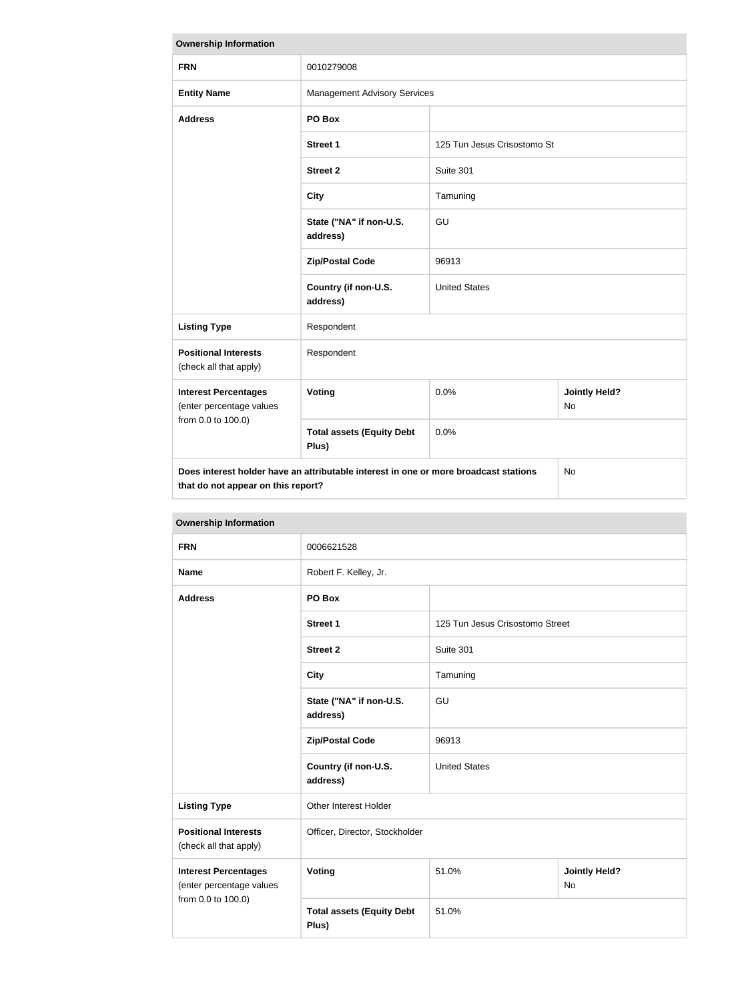| <b>Ownership Information</b>                                                                                                            |                                           |                             |                                   |
|-----------------------------------------------------------------------------------------------------------------------------------------|-------------------------------------------|-----------------------------|-----------------------------------|
| <b>FRN</b>                                                                                                                              | 0010279008                                |                             |                                   |
| <b>Entity Name</b>                                                                                                                      | <b>Management Advisory Services</b>       |                             |                                   |
| <b>Address</b>                                                                                                                          | PO Box                                    |                             |                                   |
|                                                                                                                                         | <b>Street 1</b>                           | 125 Tun Jesus Crisostomo St |                                   |
|                                                                                                                                         | <b>Street 2</b>                           | Suite 301                   |                                   |
|                                                                                                                                         | <b>City</b>                               | Tamuning                    |                                   |
|                                                                                                                                         | State ("NA" if non-U.S.<br>address)       | GU                          |                                   |
|                                                                                                                                         | <b>Zip/Postal Code</b>                    | 96913                       |                                   |
|                                                                                                                                         | Country (if non-U.S.<br>address)          | <b>United States</b>        |                                   |
| <b>Listing Type</b>                                                                                                                     | Respondent                                |                             |                                   |
| <b>Positional Interests</b><br>(check all that apply)                                                                                   | Respondent                                |                             |                                   |
| <b>Interest Percentages</b><br>(enter percentage values                                                                                 | <b>Voting</b>                             | 0.0%                        | <b>Jointly Held?</b><br><b>No</b> |
| from 0.0 to 100.0)                                                                                                                      | <b>Total assets (Equity Debt</b><br>Plus) | 0.0%                        |                                   |
| Does interest holder have an attributable interest in one or more broadcast stations<br><b>No</b><br>that do not appear on this report? |                                           |                             |                                   |

| <b>Ownership Information</b>                                                            |                                           |                                 |                                   |
|-----------------------------------------------------------------------------------------|-------------------------------------------|---------------------------------|-----------------------------------|
| <b>FRN</b>                                                                              | 0006621528                                |                                 |                                   |
| <b>Name</b>                                                                             | Robert F. Kelley, Jr.                     |                                 |                                   |
| <b>Address</b>                                                                          | PO Box                                    |                                 |                                   |
|                                                                                         | <b>Street 1</b>                           | 125 Tun Jesus Crisostomo Street |                                   |
|                                                                                         | <b>Street 2</b>                           | Suite 301                       |                                   |
|                                                                                         | <b>City</b>                               | Tamuning                        |                                   |
|                                                                                         | State ("NA" if non-U.S.<br>address)       | GU                              |                                   |
|                                                                                         | <b>Zip/Postal Code</b>                    | 96913                           |                                   |
|                                                                                         | Country (if non-U.S.<br>address)          | <b>United States</b>            |                                   |
| <b>Listing Type</b>                                                                     | Other Interest Holder                     |                                 |                                   |
| <b>Positional Interests</b><br>Officer, Director, Stockholder<br>(check all that apply) |                                           |                                 |                                   |
| <b>Interest Percentages</b><br>(enter percentage values                                 | Voting                                    | 51.0%                           | <b>Jointly Held?</b><br><b>No</b> |
| from 0.0 to 100.0)                                                                      | <b>Total assets (Equity Debt</b><br>Plus) | 51.0%                           |                                   |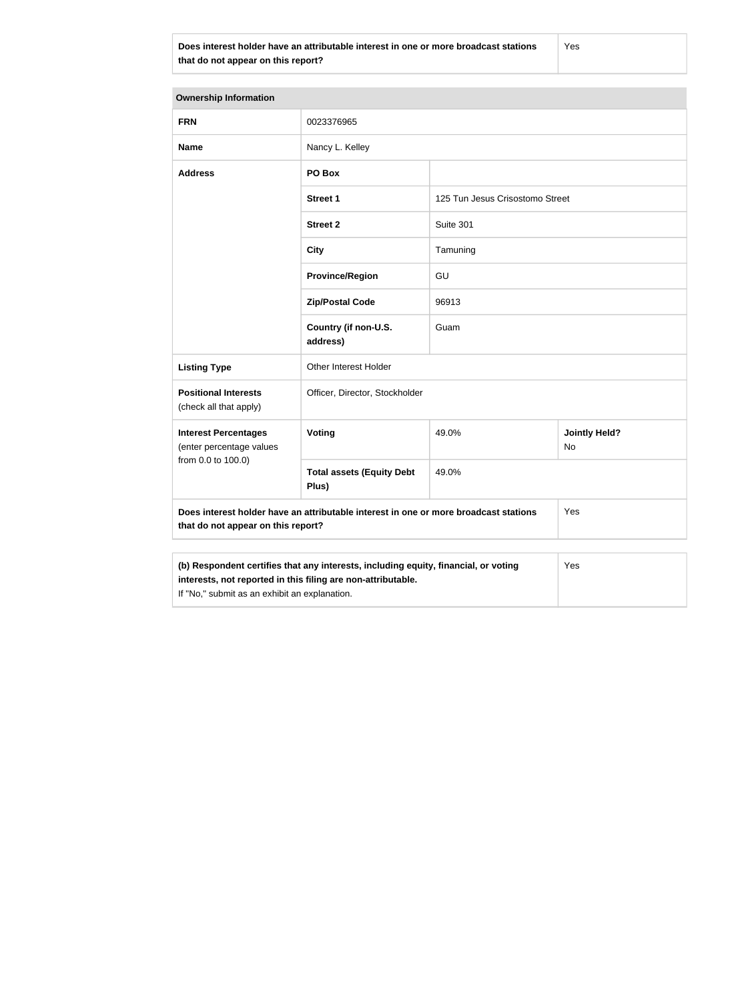**Does interest holder have an attributable interest in one or more broadcast stations that do not appear on this report?**

Yes

| <b>Ownership Information</b>                                                                                                                               |                                           |                                 |                            |  |
|------------------------------------------------------------------------------------------------------------------------------------------------------------|-------------------------------------------|---------------------------------|----------------------------|--|
| <b>FRN</b>                                                                                                                                                 | 0023376965                                |                                 |                            |  |
| <b>Name</b>                                                                                                                                                | Nancy L. Kelley                           |                                 |                            |  |
| <b>Address</b>                                                                                                                                             | PO Box                                    |                                 |                            |  |
|                                                                                                                                                            | <b>Street 1</b>                           | 125 Tun Jesus Crisostomo Street |                            |  |
|                                                                                                                                                            | <b>Street 2</b>                           | Suite 301                       |                            |  |
|                                                                                                                                                            | <b>City</b>                               | Tamuning                        |                            |  |
|                                                                                                                                                            | <b>Province/Region</b>                    | GU                              |                            |  |
|                                                                                                                                                            | <b>Zip/Postal Code</b>                    | 96913                           |                            |  |
|                                                                                                                                                            | Country (if non-U.S.<br>address)          | Guam                            |                            |  |
| <b>Listing Type</b>                                                                                                                                        | Other Interest Holder                     |                                 |                            |  |
| <b>Positional Interests</b><br>(check all that apply)                                                                                                      | Officer, Director, Stockholder            |                                 |                            |  |
| <b>Interest Percentages</b><br>(enter percentage values                                                                                                    | Voting                                    | 49.0%                           | <b>Jointly Held?</b><br>No |  |
| from 0.0 to 100.0)                                                                                                                                         | <b>Total assets (Equity Debt</b><br>Plus) | 49.0%                           |                            |  |
| Does interest holder have an attributable interest in one or more broadcast stations<br>Yes<br>that do not appear on this report?                          |                                           |                                 |                            |  |
|                                                                                                                                                            |                                           |                                 |                            |  |
| (b) Respondent certifies that any interests, including equity, financial, or voting<br>Yes<br>interests, not reported in this filing are non-attributable. |                                           |                                 |                            |  |

If "No," submit as an exhibit an explanation.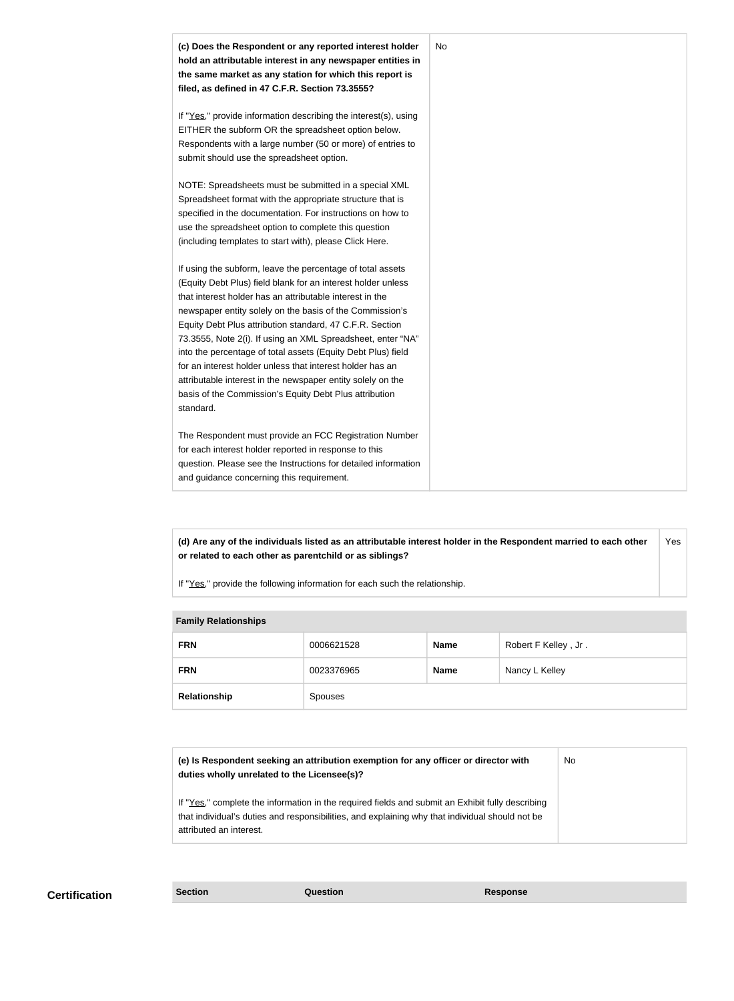

**(d) Are any of the individuals listed as an attributable interest holder in the Respondent married to each other or related to each other as parentchild or as siblings?** Yes

If "Yes," provide the following information for each such the relationship.

| <b>Family Relationships</b> |            |             |                      |  |
|-----------------------------|------------|-------------|----------------------|--|
| <b>FRN</b>                  | 0006621528 | <b>Name</b> | Robert F Kelley, Jr. |  |
| <b>FRN</b>                  | 0023376965 | <b>Name</b> | Nancy L Kelley       |  |
| Relationship                | Spouses    |             |                      |  |

| (e) Is Respondent seeking an attribution exemption for any officer or director with<br>duties wholly unrelated to the Licensee(s)?                                                                                             | No |
|--------------------------------------------------------------------------------------------------------------------------------------------------------------------------------------------------------------------------------|----|
| If "Yes," complete the information in the required fields and submit an Exhibit fully describing<br>that individual's duties and responsibilities, and explaining why that individual should not be<br>attributed an interest. |    |

**Certification Section Question Response**